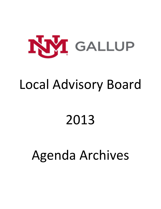

## Local Advisory Board

# 2013

## Agenda Archives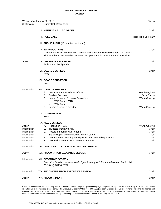| Wednesday, January 30, 2013                                                       | Six O'clock ~~~~ Gurley Hall Room 1124                                                                                                                                                                                                                                                                       | Gallup                                                      |
|-----------------------------------------------------------------------------------|--------------------------------------------------------------------------------------------------------------------------------------------------------------------------------------------------------------------------------------------------------------------------------------------------------------|-------------------------------------------------------------|
|                                                                                   | I. MEETING CALL TO ORDER                                                                                                                                                                                                                                                                                     | Chair                                                       |
|                                                                                   | <b>II. ROLL CALL</b>                                                                                                                                                                                                                                                                                         | <b>Recording Secretary</b>                                  |
|                                                                                   | III. PUBLIC INPUT (15 minutes maximum)                                                                                                                                                                                                                                                                       |                                                             |
|                                                                                   | <b>IV. INTRODUCTIONS</b><br>Michael Sage, Deputy Director, Greater Gallup Economic Development Corporation<br>Rick Murphy, Board Member, Greater Gallup Economic Development Corporation                                                                                                                     | Chair                                                       |
| Action                                                                            | <b>V. APPROVAL OF AGENDA</b><br>Additions to the Agenda                                                                                                                                                                                                                                                      | Chair                                                       |
|                                                                                   | <b>VI. BOARD BUSINESS</b><br>None                                                                                                                                                                                                                                                                            | Chair                                                       |
|                                                                                   | <b>VII. BOARD EDUCATION</b><br>None                                                                                                                                                                                                                                                                          |                                                             |
| Information                                                                       | <b>VIII. CAMPUS REPORTS</b><br>Instruction and Academic Affairs<br>А.<br><b>Student Services</b><br>В.<br>Interim Director Business Operations<br>C.<br>FY13 Budget YTD<br>i.<br>FY14 Budget<br>н.<br>Interim Executive Director<br>D.                                                                       | Neal Mangham<br>Zeke Garcia<br>Wynn Goering<br>Wynn Goering |
|                                                                                   | IX. OLD BUSINESS<br>None                                                                                                                                                                                                                                                                                     |                                                             |
| Action<br>Information<br>Information<br>Information<br>Information<br>Information | <b>X. NEW BUSINESS</b><br>А.<br><b>Resolution HB71</b><br><b>Targeted Industry Study</b><br>В.<br>C. Possible meeting with Regents<br>D.<br>Status Report on Executive Director Search<br>Discuss Board Training on Higher Education Funding Formula<br>Е.<br>F.<br>Discussion on Business Operation Reports | Wynn Goering<br>Chair<br>Chair<br>Chair<br>Chair<br>Chair   |
| Information                                                                       | XI. ADDITIONAL ITEMS PLACED ON THE AGENDA                                                                                                                                                                                                                                                                    |                                                             |
| Action                                                                            | XII. ADJOURN FOR EXECUTIVE SESSION                                                                                                                                                                                                                                                                           | Chair                                                       |
| Information                                                                       | XIII. EXECUTIVE SESSION<br>Executive Session pursuant to NM Open Meeting Act; Personnel Matter, Section 10-<br>15-1-H.(2) NMSA 1978                                                                                                                                                                          |                                                             |
| Information                                                                       | XIV. RECONVENE FROM EXECUTIVE SESSION                                                                                                                                                                                                                                                                        | Chair                                                       |
| Action                                                                            | <b>XV. ADJOURNMENT</b>                                                                                                                                                                                                                                                                                       | Chair                                                       |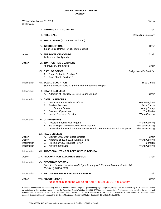| Wednesday, March 20, 2013<br>Six O'clock       |                                                                                                                                                                                                            | Gallup                                                                           |
|------------------------------------------------|------------------------------------------------------------------------------------------------------------------------------------------------------------------------------------------------------------|----------------------------------------------------------------------------------|
|                                                | I. MEETING CALL TO ORDER                                                                                                                                                                                   | Chair                                                                            |
|                                                | <b>II. ROLL CALL</b>                                                                                                                                                                                       | <b>Recording Secretary</b>                                                       |
|                                                | III. PUBLIC INPUT (15 minutes maximum)                                                                                                                                                                     |                                                                                  |
|                                                | <b>IV. INTRODUCTIONS</b><br>Judge Louis DePauli, Jr., US District Court                                                                                                                                    | Chair                                                                            |
| Action                                         | <b>V. APPROVAL OF AGENDA</b><br>Additions to the Agenda                                                                                                                                                    | Chair                                                                            |
| Action                                         | <b>VI. ZUNI POSITION 3 VACANCY</b><br>Approval of June Shack                                                                                                                                               | Chair                                                                            |
|                                                | <b>VII. OATH OF OFFICE</b><br>Ralph Richards, Position 2<br>А.<br>June Shack, Position 3<br>В.                                                                                                             | Judge Louis DePauli, Jr.                                                         |
| Information                                    | <b>VIII. BOARD EDUCATION</b><br>Student Services Advising & Financial Aid Summary Report                                                                                                                   | Zeke Garcia                                                                      |
| Information                                    | IX. BOARD BUSINESS<br>Adoption of February 20, 2013 Board Minutes<br>А.                                                                                                                                    | Chair                                                                            |
| Information                                    | <b>X. CAMPUS REPORTS</b><br>Instruction and Academic Affairs<br>А.<br><b>Student Services</b><br>В.<br><b>Student Senate</b><br>i.<br><b>Business Operations</b><br>C.<br>D.<br>Interim Executive Director | Neal Mangham<br>Zeke Garcia<br>Nancy Curley<br><b>Tim Martin</b><br>Wynn Goering |
| Information                                    | <b>XI. OLD BUSINESS</b><br>Possible meeting with Regents<br>А.<br>Status Report on Executive Director Search<br>В.<br>Orientation for Board Members on NM Funding Formula for Branch Campuses<br>C.        | Wynn Goering<br><b>Theresa Dowling</b><br><b>Theresa Dowling</b>                 |
| Action<br>Action<br>Information<br>Information | <b>XII. NEW BUSINESS</b><br>Election 2013-2014 Board Officers<br>Α.<br>Approval of 2013-2014 Tuition & Fees<br>В.<br>Preliminary 2014 Budget Review<br>C.<br><b>April Meeting Date</b><br>D.               | Chair<br>Wynn Goering<br><b>Tim Martin</b><br>Wynn Goering                       |
| Information                                    | XIII. ADDITIONAL ITEMS PLACED ON THE AGENDA                                                                                                                                                                |                                                                                  |
| Action                                         | XIV. ADJOURN FOR EXECUTIVE SESSION                                                                                                                                                                         | Chair                                                                            |
| Information                                    | <b>XV. EXECUTIVE SESSION</b><br>Executive Session pursuant to NM Open Meeting Act; Personnel Matter, Section 10-<br>15-1-H.(2) NMSA 1978                                                                   |                                                                                  |
| Information                                    | <b>XVI. RECONVENE FROM EXECUTIVE SESSION</b>                                                                                                                                                               | Chair                                                                            |
| Action                                         | <b>XVII. ADJOURNMENT</b><br>Next special meeting will be on April 4 in Gallup DCR @ 6:00 pm                                                                                                                | Chair                                                                            |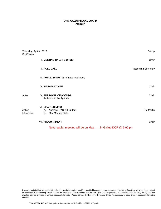| Thursday, April 4, 2013<br>Six O'clock |                                                                                 | Gallup                     |
|----------------------------------------|---------------------------------------------------------------------------------|----------------------------|
|                                        | I. MEETING CALL TO ORDER                                                        | Chair                      |
|                                        | <b>II. ROLL CALL</b>                                                            | <b>Recording Secretary</b> |
|                                        | III. PUBLIC INPUT (15 minutes maximum)                                          |                            |
|                                        | <b>IV. INTRODUCTIONS</b>                                                        | Chair                      |
| Action                                 | <b>V. APPROVAL OF AGENDA</b><br>Additions to the Agenda                         | Chair                      |
| Action<br>Information                  | <b>VI. NEW BUSINESS</b><br>A. Approval FY13-14 Budget<br>May Meeting Date<br>В. | <b>Tim Martin</b>          |
|                                        | VII. ADJOURNMENT                                                                | Chair                      |
|                                        | Next regular meeting will be on May __ in Gallup DCR @ 6:00 pm                  |                            |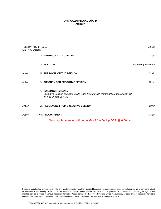| Tuesday, May 14, 2013<br>Six Thirty O'clock |                                                                                                                                         | Gallup                     |
|---------------------------------------------|-----------------------------------------------------------------------------------------------------------------------------------------|----------------------------|
|                                             | <b>I. MEETING CALL TO ORDER</b>                                                                                                         | Chair                      |
|                                             | <b>II. ROLL CALL</b>                                                                                                                    | <b>Recording Secretary</b> |
| Action                                      | III. APPROVAL OF THE AGENDA                                                                                                             | Chair                      |
| Action                                      | <b>IV. ADJOURN FOR EXECUTIVE SESSION</b>                                                                                                | Chair                      |
|                                             | <b>V. EXECUTIVE SESSION</b><br>Executive Session pursuant to NM Open Meeting Act; Personnel Matter, Section 10-<br>15-1-H.(2) NMSA 1978 |                            |
| Action                                      | VI. RECONVENE FROM EXECUTIVE SESSION                                                                                                    | Chair                      |
| Action                                      | VII. ADJOURNMENT                                                                                                                        | Chair                      |
|                                             | Next regular meeting will be on May 22 in Gallup DCR @ 6:00 pm                                                                          |                            |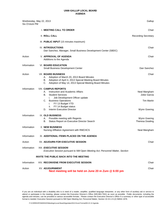| Wednesday, May 22, 2013<br>Six O'clock PM |                                                                                                                                                                                                                                                                                | Gallup                                                           |
|-------------------------------------------|--------------------------------------------------------------------------------------------------------------------------------------------------------------------------------------------------------------------------------------------------------------------------------|------------------------------------------------------------------|
|                                           | I. MEETING CALL TO ORDER                                                                                                                                                                                                                                                       | Chair                                                            |
|                                           | II. ROLL CALL                                                                                                                                                                                                                                                                  | <b>Recording Secretary</b>                                       |
|                                           | III. PUBLIC INPUT (15 minutes maximum)                                                                                                                                                                                                                                         |                                                                  |
|                                           | <b>IV. INTRODUCTIONS</b><br>Dan Sanchez, Manager, Small Business Development Center (SBDC)                                                                                                                                                                                     | Chair                                                            |
| Action                                    | <b>V. APPROVAL OF AGENDA</b><br>Additions to the Agenda                                                                                                                                                                                                                        | Chair                                                            |
| Information                               | <b>VI. BOARD EDUCATION</b><br>Small Business Development Center                                                                                                                                                                                                                | Dan Sanchez                                                      |
| Action                                    | <b>VII. BOARD BUSINESS</b><br>Adoption of March 20, 2013 Board Minutes<br>А.<br>Adoption of April 4, 2013 Special Meeting Board Minutes<br>В.<br>C.<br>Adoption of May 14, 2013 Special Meeting Board Minutes                                                                  | Chair                                                            |
| Information                               | <b>VIII. CAMPUS REPORTS</b><br>Instruction and Academic Affairs<br>А.<br>В.<br><b>Student Services</b><br>Job Development Officer update<br>Τ.<br><b>Business Operations</b><br>C.<br>FY 13 Budget YTD<br>i.<br>FY 14 Budget status<br>ii.<br>Interim Executive Director<br>D. | Neal Mangham<br>Zeke Garcia<br><b>Tim Martin</b><br>Wynn Goering |
| Information                               | IX. OLD BUSINESS<br>Possible meeting with Regents<br>А.<br>Status Report on Executive Director Search<br>В.                                                                                                                                                                    | Wynn Goering<br><b>Theresa Dowling</b>                           |
| Information                               | <b>X. NEW BUSINESS</b><br>Nursing Affliation Agreement with RMCHCS                                                                                                                                                                                                             | Neal Mangham                                                     |
| Information                               | XI. ADDITIONAL ITEMS PLACED ON THE AGENDA                                                                                                                                                                                                                                      |                                                                  |
| Action                                    | XII. ADJOURN FOR EXECUTIVE SESSION                                                                                                                                                                                                                                             | Chair                                                            |
| Information                               | XIII. <i>EXECUTIVE SESSION</i><br>Executive Session pursuant to NM Open Meeting Act; Personnel Matter, Section                                                                                                                                                                 |                                                                  |
|                                           | INVITE THE PUBLIC BACK INTO THE MEETING                                                                                                                                                                                                                                        |                                                                  |
| Information                               | XIV. RECONVENE FROM EXECUTIVE SESSION                                                                                                                                                                                                                                          | Chair                                                            |
| Action                                    | <b>XV. ADJOURNMENT</b><br>Next meeting will be held on June 20 in Zuni @ 6:00 pm                                                                                                                                                                                               | Chair                                                            |

If you are an individual with a disability who is in need of a reader, amplifier, qualified language interpreter, or any other form of auxiliary aid or service to attend or participate in the meeting, please contact the Executive Director's Office (505-863-7501) as soon as possible. Public documents, including the agenda and minutes, can be provided in various accessible formats. Please contact the Executive Director's Office if a summary or other type of accessible format is needed. Executive Session pursuant to NM Open Meeting Act; Personnel Matter, Section 10-15-1-H.(2) NMSA 1978.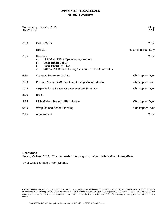#### **UNM-GALLUP LOCAL BOARD RETREAT AGENDA**

| Wednesday, July 25, 2013<br>Six O'clock | Gallup<br><b>DCR</b>                                                                                                                                                                                       |                            |
|-----------------------------------------|------------------------------------------------------------------------------------------------------------------------------------------------------------------------------------------------------------|----------------------------|
| 6:00                                    | Call to Order                                                                                                                                                                                              | Chair                      |
|                                         | <b>Roll Call</b>                                                                                                                                                                                           | <b>Recording Secretary</b> |
| 6:05                                    | <b>Reviews</b><br><b>UNMG &amp; UNMA Operating Agreement</b><br>a.<br><b>Local Board Ethics</b><br>b <sub>1</sub><br>Local Board By-Laws<br>c.<br>d.<br>2013-2014 Board Meeting Schedule and Retreat Dates | Chair                      |
| 6:30                                    | <b>Campus Summary Update</b>                                                                                                                                                                               | <b>Christopher Dyer</b>    |
| 7:00                                    | Positive Academic/Servant Leadership: An Introduction                                                                                                                                                      | <b>Christopher Dyer</b>    |
| 7:45                                    | Organizational Leadership Assessment Exercise                                                                                                                                                              | <b>Christopher Dyer</b>    |
| 8:00                                    | <b>Break</b>                                                                                                                                                                                               |                            |
| 8:15                                    | <b>UNM Gallup Strategic Plan Update</b>                                                                                                                                                                    | <b>Christopher Dyer</b>    |
| 9:00                                    | Wrap Up and Action Planning                                                                                                                                                                                | <b>Christopher Dyer</b>    |
| 9:15                                    | Adjournment                                                                                                                                                                                                | Chair                      |

#### **Resources**

Fullan, Michael; 2011. Change Leader: Learning to do What Matters Most. Jossey-Bass.

UNM-Gallup Strategic Plan, Update.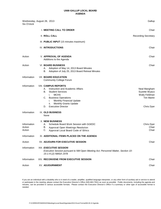| Wednesday, August 28, 2013<br>Six O'clock |                                                                                                                                                                                                                                                                      | Gallup                                                                            |
|-------------------------------------------|----------------------------------------------------------------------------------------------------------------------------------------------------------------------------------------------------------------------------------------------------------------------|-----------------------------------------------------------------------------------|
|                                           | I. MEETING CALL TO ORDER                                                                                                                                                                                                                                             | Chair                                                                             |
|                                           | <b>II. ROLL CALL</b>                                                                                                                                                                                                                                                 | <b>Recording Secretary</b>                                                        |
|                                           | III. PUBLIC INPUT (15 minutes maximum)                                                                                                                                                                                                                               |                                                                                   |
|                                           | <b>IV. INTRODUCTIONS</b>                                                                                                                                                                                                                                             | Chair                                                                             |
| Action                                    | <b>V. APPROVAL OF AGENDA</b><br>Additions to the Agenda                                                                                                                                                                                                              | Chair                                                                             |
| Action                                    | <b>VI. BOARD BUSINESS</b><br>Adoption of May 14, 2013 Board Minutes<br>А.<br>Adoption of July 25, 2013 Board Retreat Minutes<br>В.                                                                                                                                   | Chair                                                                             |
| Information                               | <b>VII. BOARD EDUCATION</b><br><b>Community College Forum</b>                                                                                                                                                                                                        |                                                                                   |
| Information                               | <b>VIII. CAMPUS REPORTS</b><br>Instruction and Academic Affairs<br>А.<br>В.<br><b>Student Services</b><br><b>MCHS</b><br>i.<br><b>Business Operations</b><br>C.<br>Monthly Financial Update<br>i.<br>Monthly Grants Update<br>ii.<br><b>Executive Director</b><br>D. | Neal Mangham<br>Suzette Wyaco<br>Wally Feldman<br><b>Tim Martin</b><br>Chris Dyer |
| Information                               | IX. OLD BUSINESS<br>None                                                                                                                                                                                                                                             |                                                                                   |
| Information<br>Action<br>Action           | <b>X. NEW BUSINESS</b><br>Schedule Board Work Session with GGEDC<br>А.<br>В.<br>Approval Open Meetings Resolution<br>C.<br>Approval Local Board Code of Ethics                                                                                                       | Chris Dyer<br>Chair<br>Chair                                                      |
| Information                               | XI. ADDITIONAL ITEMS PLACED ON THE AGENDA                                                                                                                                                                                                                            |                                                                                   |
| Action                                    | XII. ADJOURN FOR EXECUTIVE SESSION                                                                                                                                                                                                                                   | Chair                                                                             |
| Information                               | XIII. EXECUTIVE SESSION<br>Executive Session pursuant to NM Open Meeting Act; Personnel Matter, Section 10-<br>15-1-H.(2) NMSA 1978                                                                                                                                  |                                                                                   |
| Information                               | XIV. RECONVENE FROM EXECUTIVE SESSION                                                                                                                                                                                                                                | Chair                                                                             |
| Action                                    | <b>XV. ADJOURNMENT</b>                                                                                                                                                                                                                                               | Chair                                                                             |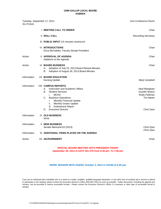| Tuesday, September 17, 2013<br>Six O'clock |                                                                                                                                                                                                                                                                                                         | Zuni Conference Room                                                              |
|--------------------------------------------|---------------------------------------------------------------------------------------------------------------------------------------------------------------------------------------------------------------------------------------------------------------------------------------------------------|-----------------------------------------------------------------------------------|
|                                            | <b>I. MEETING CALL TO ORDER</b>                                                                                                                                                                                                                                                                         | Chair                                                                             |
|                                            | <b>II. ROLL CALL</b>                                                                                                                                                                                                                                                                                    | <b>Recording Secretary</b>                                                        |
|                                            | III. PUBLIC INPUT (15 minutes maximum)                                                                                                                                                                                                                                                                  |                                                                                   |
|                                            | <b>IV. INTRODUCTIONS</b><br>Erica McFadden, Faculty Senate President                                                                                                                                                                                                                                    | Chair                                                                             |
| Action                                     | <b>V. APPROVAL OF AGENDA</b><br>Additions to the Agenda                                                                                                                                                                                                                                                 | Chair                                                                             |
| Action                                     | <b>VI. BOARD BUSINESS</b><br>А.<br>Adoption of July 25, 2013 Board Retreat Minutes<br>В.<br>Adoption of August 28, 2013 Board Minutes                                                                                                                                                                   | Chair                                                                             |
| Information                                | <b>VII. BOARD EDUCATION</b><br><b>Nursing Update</b>                                                                                                                                                                                                                                                    | Marji Campbell                                                                    |
| Information                                | <b>VIII. CAMPUS REPORTS</b><br>А.<br>Instruction and Academic Affairs<br>В.<br><b>Student Services</b><br><b>MCHS</b><br>i.<br>С.<br><b>Business Operations</b><br>Monthly Financial Update<br>i.<br>Monthly Grants Update<br>ii.<br><b>Endowment Report</b><br>iii.<br><b>Executive Director</b><br>D. | Neal Mangham<br>Suzette Wyaco<br>Wally Feldman<br><b>Tim Martin</b><br>Chris Dyer |
| Information                                | IX. OLD BUSINESS<br>None                                                                                                                                                                                                                                                                                |                                                                                   |
| Information                                | <b>X. NEW BUSINESS</b><br>Senate Memorial 63 (2013)                                                                                                                                                                                                                                                     | Chris Dyer<br>Chris Dyer                                                          |
| Information                                | XI. ADDITIONAL ITEMS PLACED ON THE AGENDA                                                                                                                                                                                                                                                               |                                                                                   |
| Action                                     | XII. ADJOURNMENT                                                                                                                                                                                                                                                                                        | Chair                                                                             |

#### *SPECIAL BOARD MEETING WITH PRESIDENT FRANK September 30, 2013 in SSTC Rm 270 from 6:30 pm. To 7:00 pm*

**WORK SESSION WITH GGEDC October 3, 2013 in CH100 at 6:00 pm.**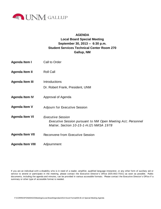

#### **AGENDA**

## **Gallup, NM Local Board Special Meeting September 30, 2013 -- 6:30 p.m. Student Services Technical Center Room 270**

Call to Order Roll Call **Introductions** Dr. Robert Frank, President, UNM Approval of Agenda Adjourn for Executive Session *Executive Session* Reconvene from Executive Session Adjournment **Agenda Item VI Agenda Item IV Agenda Item II Agenda Item VIII** *Executive Session pursuant to NM Open Meeting Act; Personnel Matter, Section 10-15-1-H.(2) NMSA 1978*  **Agenda Item III Agenda Item V Agenda Item I Agenda Item VII**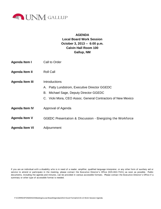

### **AGENDA Local Board Work Session**

### **October 3, 2013 -- 6:00 p.m. Calvin Hall Room 100 Gallup, NM**

- Call to Order **Agenda Item I**
- Roll Call **Agenda Item II**
- **Introductions Agenda Item III**
	- A. Patty Lundstrom, Executive Director GGEDC
	- B. Michael Sage, Deputy Director GGEDC
	- C. Vicki Mora, CEO Assoc. General Contractors of New Mexico
- Approval of Agenda **Agenda Item IV**
- GGEDC Presentation & Discussion Energizing the Workforce **Agenda Item V**
- Adjournment **Agenda Item VI**